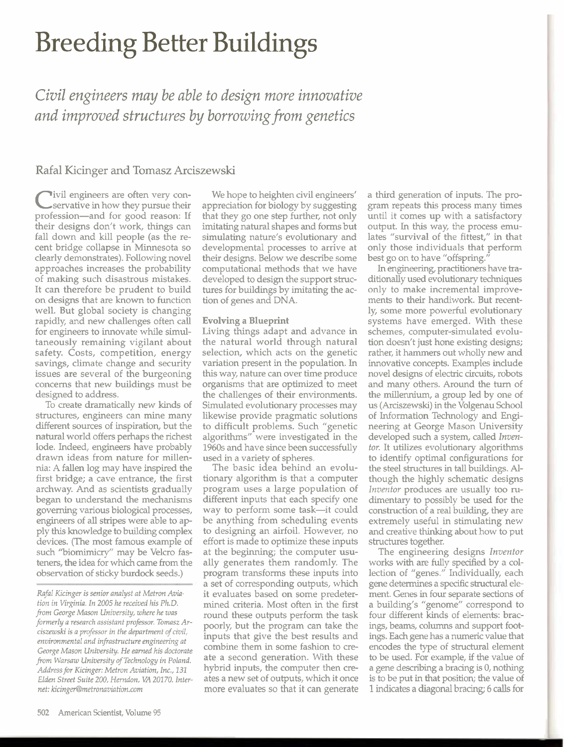# Breeding Better Buildings

*Civil engineem: may be able to design more innovative and improved structures by borrowing from genetics* 

## Rafal Kicinger and Tomasz Arciszewski

**C** ivil engineers are often very conservative in how they pursue their profession-and for good reason: If their designs don't work, things can fall down and kill people (as the recent bridge collapse in Minnesota so clearly demonstrates). Following novel approaches increases the probability of making such disastrous mistakes. It can therefore be prudent to build on designs that are known to function well. But global society is changing rapidly, and new challenges often call for engineers to innovate while simultaneously remaining vigilant about safety. Costs, competition, energy savings, climate change and security issues are several of the burgeoning concerns that new buildings must be designed to address.

To create dramatically new kinds of structures, engineers can mine many different sources of inspiration, but the natural world offers perhaps the richest lode. Indeed, engineers have probably drawn ideas from nature for millennia: A fallen log may have inspired the first bridge; a cave entrance, the first archway. And as scientists gradually began to understand the mechanisms governing various biological processes, engineers of all stripes were able to apply this knowledge to building complex devices. (The most famous example of such "biomimicry" may be Velcro fasteners, the idea for which came from the observation of sticky burdock seeds.)

*Rafal Kicinger is senior analyst at Metron Aviation in Virginia. In 2005 he received his Ph.D. from George Mason University, where he was formerly a research assistant professor. Tomasz Arciszewski is a professor in the department of civil, environmental and infrastructure engineering at George Mason University. He earned his doctorate*  from *Warsaw University of Technology in Poland. Address* for *Kicinger: Metron Aviation, Inc., 131 Elden Street Suite 200, Herndon, VA 20170. Internet: kicinger@metronaviation.com* **more evaluates so that it can generate** 1 indicates a diagonal bracing; 6 calls for

We hope to heighten civil engineers' appreciation for biology by suggesting that they go one step further, not only imitating natural shapes and forms but simulating nature's evolutionary and developmental processes to arrive at their designs. Below we describe some computational methods that we have developed to design the support structures for buildings by imitating the action of genes and DNA.

### **Evolving** a Blueprint

Living things adapt and advance in the natural world through natural selection, which acts on the genetic variation present in the population. In this way, nature can over time produce organisms that are optimized to meet the challenges of their environments. Simulated evolutionary processes may likewise provide pragmatic solutions to difficult problems. Such "genetic algorithms" were investigated in the 1960s and have since been successfully used in a variety of spheres.

The basic idea behind an evolutionary algorithm is that a computer program uses a large population of different inputs that each specify one way to perform some task-it could be anything from scheduling events to designing an airfoil. However, no effort is made to optimize these inputs at the beginning; the computer usually generates them randomly. The program transforms these inputs into a set of corresponding outputs, which it evaluates based on some predetermined criteria. Most often in the first round these outputs perform the task poorly, but the program can take the inputs that give the best results and combine them in some fashion to create a second generation. With these hybrid inputs, the computer then creates a new set of outputs, which it once

a third generation of inputs. The program repeats this process many times until it comes up with a satisfactory output. In this way, the process emulates "survival of the fittest," in that only those individuals that perform best go on to have "offspring."

In engineering, practitioners have traditionally used evolutionary techniques only to make incremental improvements to their handiwork. But recently, some more powerful evolutionary systems have emerged. With these schemes, computer-simulated evolution doesn't just hone existing designs; rather, it hammers out wholly new and innovative concepts. Examples include novel designs of electric circuits, robots and manv others. Around the turn of the millennium, a group led by one of us (Arciszewski) in the Volgenau School of Information Technology and Engineering at George Mason University developed such a system, called **Inven***tor.* It utilizes evolutionary algorithms to identify optimal configurations for the steel structures in tall buildings. **Al**though the highly schematic designs *lnventor* produces are usually too rudimentary to possibly be used for the construction of a real building, they are extremely useful in stimulating new and creative thinking about how to put structures together.

The engineering designs *Inventor*  works with are fully specified by a collection of "genes." Individually, each gene determines a specific structural element. Genes in four separate sections of a building's "genome" correspond to four different kinds of elements: bracings, beams, columns and support footings. Each gene has a numeric value that encodes the type of structural element to be used. For example, if the value of a gene describing a bracing is 0, nothing is to be put in that position; the value of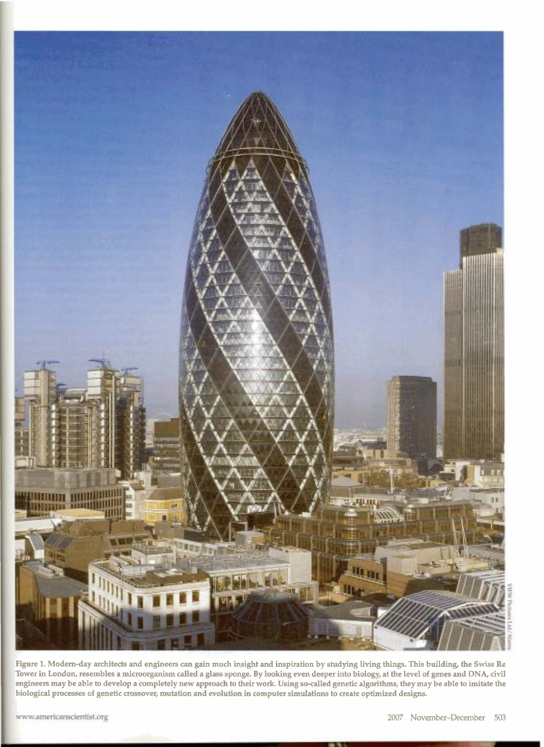

**Figure** 1. Modem-day architects and engineers **can** gain much insight and inspiration by studying living things. This building, the Swiss Re Tower in London, resembles a microorganism called a **glass** sponge. By looking even deeper into biology, at the level of genes and DNA, civil engineers may be able to develop a completely new approach to their work. Using so-called genetic algorithms, they may be able to imitate the biological processes of genetic crossover, mutation and evolution in computer simulations to create optimized designs.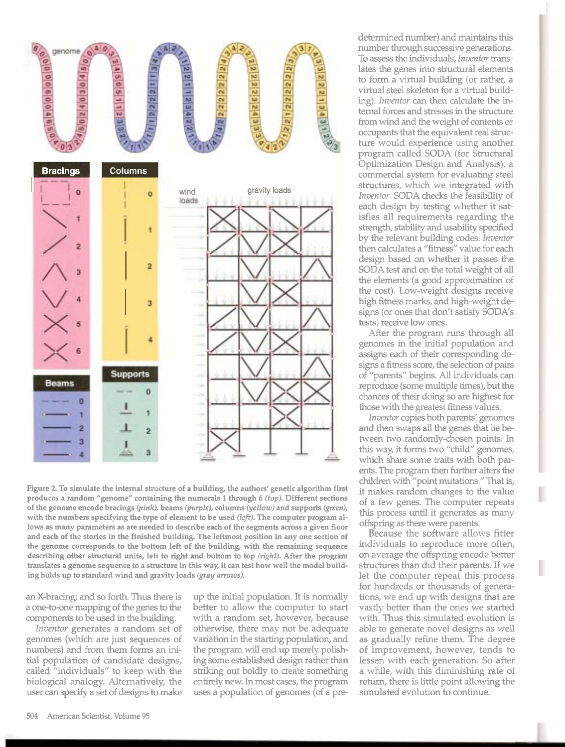

Figure 2. To simulate the internal structure of a building, the authors' genetic algorithm first **produces a random "genome" containing the numerals 1 through 6 (top). Different sections bf** the genome encode bracings (pink), beams (purple), columns (yellow) and supports (green), with the numbers specifying the type of element to be used (left). The computer program al**lows as many parameters as are needed to describe each of the segments across a given floor and each of the stories in the finished building. The leftmost position in any one section of the genome corresponds to the bottom left of the building, with the remaining sequence describing other structural units, left to right and bottom to top** *(right).* **After the program translates a genome sequence to a structure in this way, it can test how well the model build**ing holds up to standard wind and gravity loads (gray arrows).

an X-bracing; and so forth. **Thus** there is a one-to-one mapping of the genes to the components to be used in the building.

*Inventor* generates a random set of genomes (which are just sequences of numbers) and from them forms an initial population of candidate designs, called "individuals" to keep with the biological analogy. Alternatively, the user can specify a set of designs to make

up the initial population. It is normally better to allow the computer to start with a random set, however, because otherwise, there may not be adequate variation in the starting population, and the program will end up merely polish**ing** some established design rather than striking out boldly to create something entirely new. In most cases, the program uses a population of genomes (of a predetermined number) and maintains this number through successive generations. To assess the individuals, *lnventor* **trans**lates the genes into structural elements to form a virtual building (or rather, a virtual steel skeleton for a virtual building). *lnventor* can then calculate the internal forces and stresses in the structure from wind and the weight of contents or occupants that the equivalent real structure would experience using another program called SODA (for Structural Optimization Design and Analysis), a commercial system for evaluating steel structures, which we integrated with *Inventor.* SODA checks the feasibility of each design by testing whether it satisfies all requirements regarding the strength, stability and usability specified by the relevant building codes. *Inventor*  then calculates a "fitness" value for each design based on whether it passes the SODA test and on the total weight of all the elements (a good approximation of the cost). Low-weight designs receive high fitness marks) and high-weight designs (or ones that don't satisfy SODA'S tests) receive low ones.

After the program **runs** through all genomes in the initial population and assigns each of their corresponding designs a fitness score, the selection of pairs of "parents" begins. **All** individuals can reproduce (some multiple times), but the chances of their doing so are highest for those with the greatest fitness values.

*lnventw* copies both parents' genomes and then swaps all the genes that lie be tween two randomly-chosen points. In this way, it forms two "child" genomes, which share some traits with both parents. The program then further alters the children with "point mutations." That is, it makes random changes to the value of a few genes. The computer repeats this process until it generates as many offspring **as** there were parents.

Because the software allows fitter individuals to reproduce more often, on average the offspring encode better structures than did their parents. If we let the computer repeat this process for hundreds or thousands of generations, we end up with designs that are vastly better than the ones we started with. Thus this simulated evolution is able to generate novel designs as well as gradually refine them. The degree of improvement, however, tends to lessen with each generation. *So* after a while, with this diminishing rate of return) there is little point allowing the simulated evolution to continue.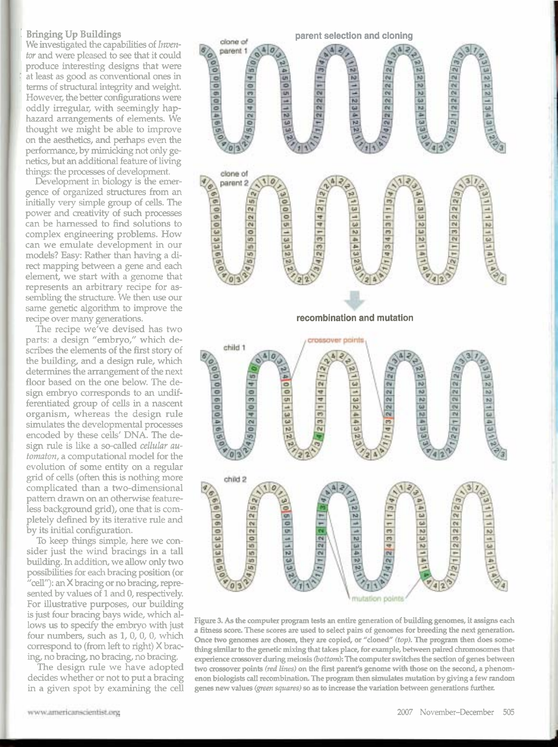#### : **Bringing Up Buildings**

We investigated the capabilities of **Inven***tor* and were pleased to *see* that it could produce interesting designs that were at least as good as conventional ones in terms of structural integrity and weight. However, the **better** configurations were oddly irregular, with seemingly haphazard arrangements of elements. We thought we might be able to improve on the aesthetics, and perhaps even the performance, by mimicking not only genetics, but an additional feature of living **things:** the processes of development.

Development in biology is the emergence of organized structures from an initially **very** simple group of cells. The power and creativity of such processes can be harnessed to find solutions to complex engineering problems. How can we emulate development in our models? Easy: **Rather than** having a dired mapping **between** a gene and each element, we start with a genome that represents an arbitrary recipe for assembling the strudure. We then use our same genetic algorithm to improve the recipe over many generations.

The recipe we've devised has two parts: a design "embryo," which describes the elements of the first story of the building, and a design rule, which determines the arrangement of the next floor based on the one below. The design embryo corresponds to an undifferentiated group of cells in a nascent organism, whereas the design rule simulates the developmental processes encoded by these cells' DNA. The design rule is like a so-called *cellular* automaton, a computational model for the evolution of some entity on a regular grid of cells (often this is nothing more complicated than a two-dimensional pattern drawn on an otherwise featureless background grid), one that is completely defined by its iterative rule and by its initial configuration.

To **keep** things simple, here we consider just the wind bracings in a tall building. In addition, we allow only two possibilities for each bracing position (or "cell"): an X bracing or no bracing, represented by values of 1 and 0, respectively. For illustrative purposes, our building is just four bracing bays wide, which allows us to speafy the embryo with **just**  four numbers, such as  $1, 0, 0, 0$ , which correspond to (from left to right) **X** brac**ing,** no bracing, no bracing, no bracing.

The design rule we have adopted decides whether or not to put a bracing in a given spot by examining the cell



**Figure 3. As the computer program tests an entire generation of building genomes, it assigns each a fitness score. These scores are used to select pairs of genomes for breeding the next generation.**  Once two genomes are chosen, they are copied, or "cloned" (top). The program then does something similar to the genetic mixing that takes place, for example, between paired chromosomes that **experience crossover during meiosis** *(bottak* **The computer** switches **the section of genes between**  two crossover points (red lines) on the first parent's genome with those on the second, a phenom**enon biologists call recombination. The program then simulates mutation by giving a few random genes new values (green** squafi?s) **so as to increase the variation between generations** fur the^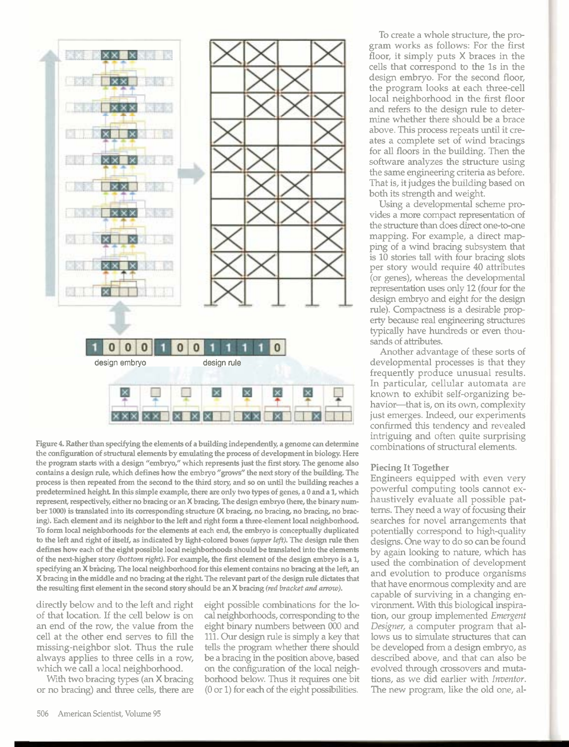

Figure 4. Rather than specifying the elements of a building independently, a genome can determine the configuration of structural elements by emulating the process of development in biology. **Here**  the program starts with a design "embryo," which represents just the first story. The genome also contains a design rule, which defines how the embryo **"grows"** the next story of the building. The process is then repeated from the second to the third story, and so on **until** the building reaches a predetermined height In this simple example, there are only two **types** of genes, a **0** and a **1,** which represent, respectively, either no bracing or an X bracing. The design embryo (here, the binary number 1000) is translated into its corresponding structure **(X** bracing, no bracing, no bracing, no bracing). Each element and its neighbor to the left and right form a three-element local neighborhood. To form local neighborhoods for the elements at each end, the embryo is conceptually duplicated to the left and right of itself, as indicated by light-colored boxes **(upper** *left).* The design rule then defines how each of the eight possible local neighborhoods should be translated into the elements of the next-higher story *(boffom right).* For example, the first element of the design embryo is a 1, specifying an **X** bracing. The local neighborhood for this element contains no bracing at the left, an **X** bracing in the middle and no bracing at the right. The relevant part of the design rule dictates that the resulting first element in the second story should be an X bracing (red bracket and arrow).

directly below and to the left and right of that location. If the cell below is on an end of the row, the value from the cell at the other end serves to fill the missing-neighbor slot. Thus the rule always applies to three cells in a row, which we call a local neighborhood.

With two bracing types (an **X** bracing or no bracing) and three cells, there are eight possible combinations for the lo*cal* neighborhoods, corresponding to the eight binary numbers between 000 and 111. Our design rule is simply a key that tells the program whether there should be a bracing in the position above, based on the configuration of the local neighborhood below. Thus it requires one bit (0 or 1) for each of the eight possibilities.

To create a whole structure, the program works as follows: For the first floor, it simply puts **X** braces in the cells that correspond to the 1s in the design embryo. For the second floor, the program looks at each three-cell local neighborhood in the first floor and refers to the design rule to determine whether there should be a brace above. This process repeats until it creates a complete set of wind bracings for all floors in the building. Then the software analyzes the structure using the same engineering criteria as before. That is, it judges the building based on both its strength and weight.

Using a developmental scheme provides a more compact representation of the structure than does direct one-to-one mapping. For example, a direct mapping of a wind bracing subsystem that is 10 stories tall with four bracing slots per story would require 40 attributes (or genes), whereas the developmental representation uses only 12 (four for the design embryo and eight for the design rule). Compactness is a desirable prop erty because real engineering structures typically have hundreds or even thou sands of attributes.

Another advantage of these sorts of developmental processes is that they frequently produce unusual results. In particular, cellular automata are known to exhibit self-organizing behavior-that is, on its own, complexity just emerges. Indeed, our experiments confirmed this tendency and revealed intriguing and often quite surprising combinations of structural elements.

#### **Piecing It Together**

Engineers equipped with even very powerful computing tools cannot exhaustively evaluate all possible patterns. They need a way of focusing their searches for novel arrangements that potentially correspond to high-quality designs. One way to do so can be found by again looking to nature, which has used the combination of development and evolution to produce organisms that have enormous complexity and are capable of surviving in a changing environment. With this biological inspiration, our group implemented *Emergent*  **Designer,** a computer program that allows us to simulate structures that can be developed from a design embryo, as described above, and that can also be evolved through crossovers and mutations, as we did earlier with **Inventor.**  The new program, like the old one, al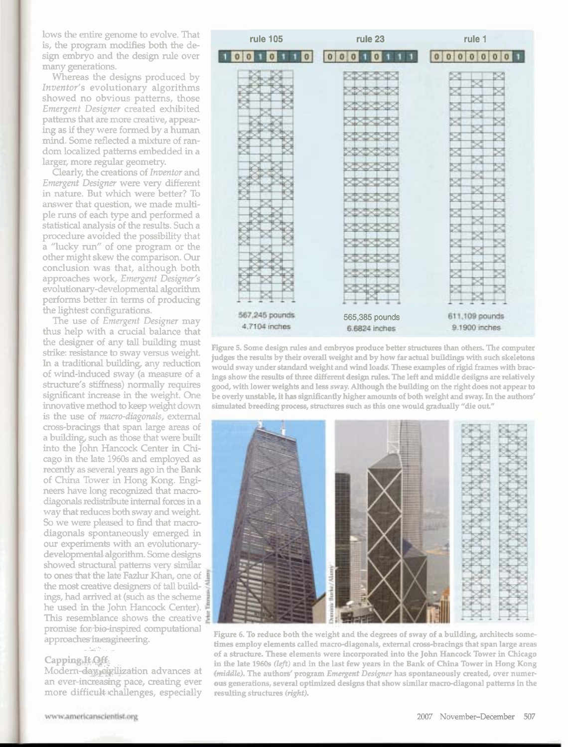lows the entire genome to evolve. That is, the program modifies both the design embryo and **the** design rule over many generations.

Whereas the designs produced by Inventor's evolutionary algorithms showed no obvious patterns, those Emergent Designer created exhibited patterns that are more creative, appearing as if they were forrned by a human mind. Some reflected a mixture of random localized patterns embedded in a larger, more regular geometry.

Clearly, the creations of Inventor and Emergent Designer were very different in nature. But which were better? To answer that question, we made multiple runs of each type and performed a statistical analysis of the **results.** Such a procedure avoided the possibility that a "lucky run" of one program or the other might skew the comparison. **Our**  conclusion was that, although both approaches work, *Emergent* Designer's evolutionary-developmental algorithm performs better in terms of producing the lightest configurations.

The use of Emergent Designer may thus help with a crucial balance that the designer of any tall building must strike: resistance to sway versus weight. In a traditional building, any reduction of wind-induced sway (a measure of a structure's stiffness) normally requires significant increase in the weight. One innovative method to **keep** weight down is the use of *macro-diagonals*, external cross-bracings that span large areas of a building, such **as** those that were built into the John Hancock Center in Chicago in the late 1960s and employed **as**  recently as several years ago in the Bank of China Tower in Hong Kong. **Engi**neers have long recognized that macrodiagonals rediskhute **internal** forces in a way that reduces both sway and weight. So we were pleased to find that macrodiagonals spontaneously emerged in our **experiments** with an evolutionarydevelopmental algorithm. Some designs showed structural patterns very similar to ones that the late Fazlur Khan, one of the most creative designers of tall build**ings, had arrived at (such as the scheme** he **used** in the John Hancock Center). **This resemblance shows the creative** promise for-bio-inspired computational approaches in engineering.

#### Capping.It Off.

Modern-day eivilization advances at an ever-increasing pace, creating ever more difficult challenges, especially

| <b>rule 105</b>                 | rule 23                                              | rule 1                                   |
|---------------------------------|------------------------------------------------------|------------------------------------------|
| o                               | o<br>0<br>l o                                        | 0 0 <br>00<br> 0 <br>$\sigma$<br>$\circ$ |
|                                 | XXXXX<br>etoera<br>xtxtxtxt<br>シンシ<br>XIXIX<br>oatoa | ×                                        |
| 567,245 pounds<br>4.7104 inches | 565,385 pounds<br>6.6824 inches                      | 611,109 pounds<br>9.1900 inches          |

Figure 5. Some design rules and embryos produce better structures than others. The computer judges the results by their overall weight and by how far actual buildings with such skeletons would sway under standard weight and wind loads. These examples of rigid frames with bracings show the results of three different design rules. The left and middle designs are relatively good, with lower weights and less sway. Although the building on the right does not appear to be overly unstable, it **has** significantly **higher** amounts of both weight and sway. In the authors' simulated breeding process, structures such as this one would gradually "die out."



Figure 6. To reduce both the weight and the degrees of sway of a building, architects sometimes employ elements called macro-diagonals, external cross-bracings that span large areas of a structure. These elements were incorporated into the John Hancock Tower in Chicago in fhe late **19608 (Ief}** and in the last few years in the Bank of China Tower in Hong Kong *drniddfe),* The authors' program Emergent **Designer** has spontaneously created, over numer**ous** generations, several optimized designs that show similar macro-diagonal patterns in the resulting structures (right).